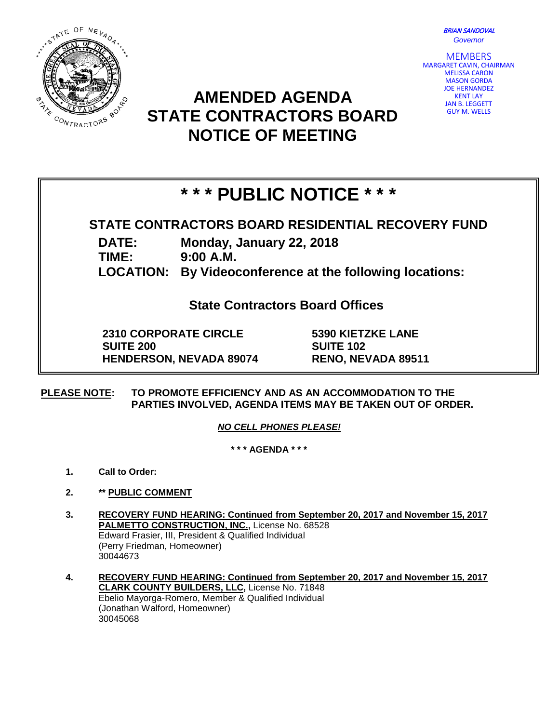

BRIAN SANDOVAL *Governor*

MEMBERS MARGARET CAVIN, CHAIRMAN MELISSA CARON MASON GORDA JOE HERNANDEZ KENT LAY JAN B. LEGGETT GUY M. WELLS

## **AMENDED AGENDA STATE CONTRACTORS BOARD NOTICE OF MEETING**

# **\* \* \* PUBLIC NOTICE \* \* \***

### **STATE CONTRACTORS BOARD RESIDENTIAL RECOVERY FUND**

**DATE: Monday, January 22, 2018**

**TIME: 9:00 A.M.**

**LOCATION: By Videoconference at the following locations:**

**State Contractors Board Offices**

**2310 CORPORATE CIRCLE SUITE 200 HENDERSON, NEVADA 89074** **5390 KIETZKE LANE SUITE 102 RENO, NEVADA 89511**

**PLEASE NOTE: TO PROMOTE EFFICIENCY AND AS AN ACCOMMODATION TO THE PARTIES INVOLVED, AGENDA ITEMS MAY BE TAKEN OUT OF ORDER.**

*NO CELL PHONES PLEASE!* 

**\* \* \* AGENDA \* \* \***

- **1. Call to Order:**
- **2. \*\* PUBLIC COMMENT**
- **3. RECOVERY FUND HEARING: Continued from September 20, 2017 and November 15, 2017 PALMETTO CONSTRUCTION, INC.,** License No. 68528 Edward Frasier, III, President & Qualified Individual (Perry Friedman, Homeowner) 30044673
- **4. RECOVERY FUND HEARING: Continued from September 20, 2017 and November 15, 2017 CLARK COUNTY BUILDERS, LLC,** License No. 71848 Ebelio Mayorga-Romero, Member & Qualified Individual (Jonathan Walford, Homeowner) 30045068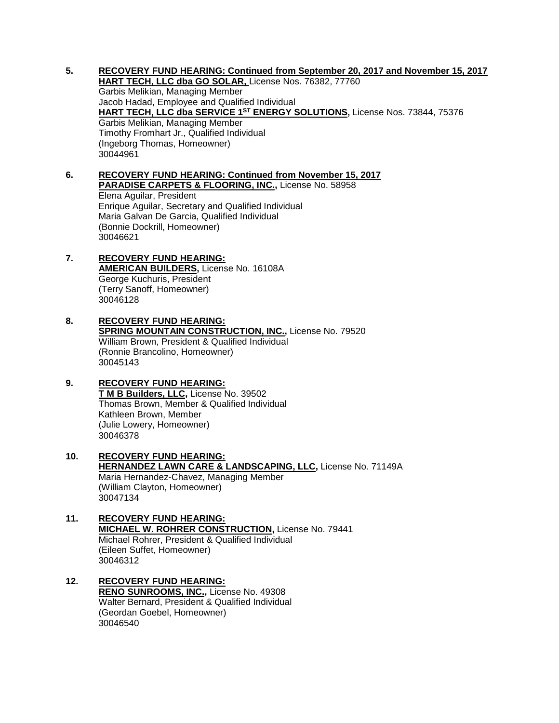**5. RECOVERY FUND HEARING: Continued from September 20, 2017 and November 15, 2017**

**HART TECH, LLC dba GO SOLAR,** License Nos. 76382, 77760 Garbis Melikian, Managing Member Jacob Hadad, Employee and Qualified Individual **HART TECH, LLC dba SERVICE 1ST ENERGY SOLUTIONS,** License Nos. 73844, 75376 Garbis Melikian, Managing Member Timothy Fromhart Jr., Qualified Individual (Ingeborg Thomas, Homeowner) 30044961

#### **6. RECOVERY FUND HEARING: Continued from November 15, 2017 PARADISE CARPETS & FLOORING, INC.,** License No. 58958 Elena Aguilar, President Enrique Aguilar, Secretary and Qualified Individual Maria Galvan De Garcia, Qualified Individual (Bonnie Dockrill, Homeowner) 30046621

#### **7. RECOVERY FUND HEARING: AMERICAN BUILDERS,** License No. 16108A George Kuchuris, President (Terry Sanoff, Homeowner) 30046128

**8. RECOVERY FUND HEARING: SPRING MOUNTAIN CONSTRUCTION, INC., License No. 79520** William Brown, President & Qualified Individual (Ronnie Brancolino, Homeowner) 30045143

#### **9. RECOVERY FUND HEARING: T M B Builders, LLC,** License No. 39502 Thomas Brown, Member & Qualified Individual

Kathleen Brown, Member (Julie Lowery, Homeowner) 30046378

- **10. RECOVERY FUND HEARING: HERNANDEZ LAWN CARE & LANDSCAPING, LLC,** License No. 71149A Maria Hernandez-Chavez, Managing Member (William Clayton, Homeowner) 30047134
- **11. RECOVERY FUND HEARING: MICHAEL W. ROHRER CONSTRUCTION,** License No. 79441 Michael Rohrer, President & Qualified Individual (Eileen Suffet, Homeowner) 30046312

#### **12. RECOVERY FUND HEARING: RENO SUNROOMS, INC.,** License No. 49308 Walter Bernard, President & Qualified Individual (Geordan Goebel, Homeowner) 30046540